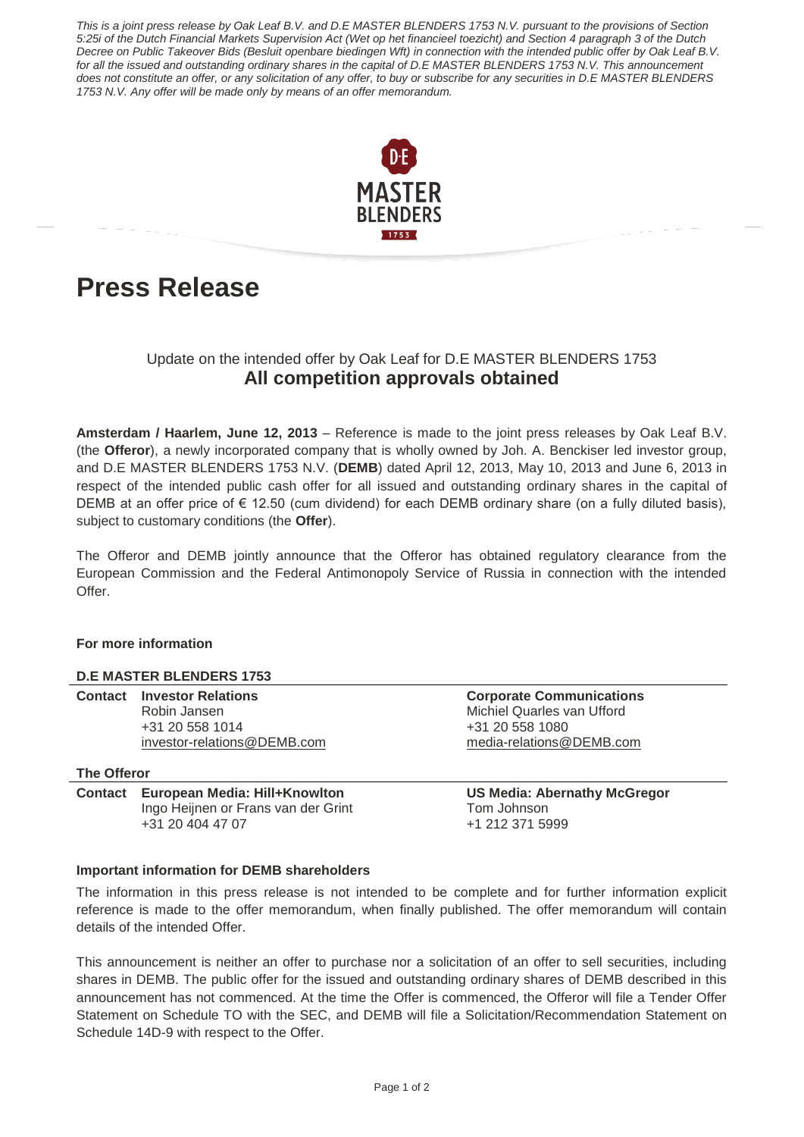*This is a joint press release by Oak Leaf B.V. and D.E MASTER BLENDERS 1753 N.V. pursuant to the provisions of Section 5:25i of the Dutch Financial Markets Supervision Act (Wet op het financieel toezicht) and Section 4 paragraph 3 of the Dutch Decree on Public Takeover Bids (Besluit openbare biedingen Wft) in connection with the intended public offer by Oak Leaf B.V. for all the issued and outstanding ordinary shares in the capital of D.E MASTER BLENDERS 1753 N.V. This announcement does not constitute an offer, or any solicitation of any offer, to buy or subscribe for any securities in D.E MASTER BLENDERS 1753 N.V. Any offer will be made only by means of an offer memorandum.* 



# **Press Release**

## Update on the intended offer by Oak Leaf for D.E MASTER BLENDERS 1753 **All competition approvals obtained**

**Amsterdam / Haarlem, June 12, 2013** – Reference is made to the joint press releases by Oak Leaf B.V. (the **Offeror**), a newly incorporated company that is wholly owned by Joh. A. Benckiser led investor group, and D.E MASTER BLENDERS 1753 N.V. (**DEMB**) dated April 12, 2013, May 10, 2013 and June 6, 2013 in respect of the intended public cash offer for all issued and outstanding ordinary shares in the capital of DEMB at an offer price of  $\epsilon$  12.50 (cum dividend) for each DEMB ordinary share (on a fully diluted basis), subject to customary conditions (the **Offer**).

The Offeror and DEMB jointly announce that the Offeror has obtained regulatory clearance from the European Commission and the Federal Antimonopoly Service of Russia in connection with the intended Offer.

## **For more information**

## **D.E MASTER BLENDERS 1753**

| <b>Contact Investor Relations</b> |
|-----------------------------------|
| Robin Jansen                      |
| +31 20 558 1014                   |
| investor-relations@DEMB.com       |

## **The Offeror**

**Contact European Media: Hill+Knowlton US Media: Abernathy McGregor**  Ingo Heijnen or Frans van der Grint Tom Johnson +31 20 404 47 07 +1 212 371 5999

**Corporate Communications Michiel Quarles van Ufford** +31 20 558 1080 [media-relations@DEMB.com](mailto:media-relations@DEMB.com)

## **Important information for DEMB shareholders**

The information in this press release is not intended to be complete and for further information explicit reference is made to the offer memorandum, when finally published. The offer memorandum will contain details of the intended Offer.

This announcement is neither an offer to purchase nor a solicitation of an offer to sell securities, including shares in DEMB. The public offer for the issued and outstanding ordinary shares of DEMB described in this announcement has not commenced. At the time the Offer is commenced, the Offeror will file a Tender Offer Statement on Schedule TO with the SEC, and DEMB will file a Solicitation/Recommendation Statement on Schedule 14D-9 with respect to the Offer.